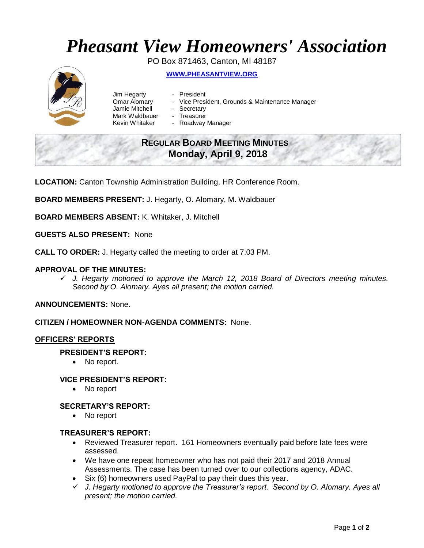# *Pheasant View Homeowners' Association*

PO Box 871463, Canton, MI 48187 **WWW.[PHEASANTVIEW](http://www.pheasantview.org/).ORG**

- Jim Hegarty President
	-
- Omar Alomary Vice President, Grounds & Maintenance Manager
- Jamie Mitchell Secretary
- Mark Waldbauer Treasurer<br>Kevin Whitaker Roadway
	- Roadway Manager

## **REGULAR BOARD MEETING MINUTES Monday, April 9, 2018**

**LOCATION:** Canton Township Administration Building, HR Conference Room.

**BOARD MEMBERS PRESENT:** J. Hegarty, O. Alomary, M. Waldbauer

**BOARD MEMBERS ABSENT:** K. Whitaker, J. Mitchell

**GUESTS ALSO PRESENT:** None

**CALL TO ORDER:** J. Hegarty called the meeting to order at 7:03 PM.

### **APPROVAL OF THE MINUTES:**

✓ *J. Hegarty motioned to approve the March 12, 2018 Board of Directors meeting minutes. Second by O. Alomary. Ayes all present; the motion carried.* 

**ANNOUNCEMENTS:** None.

**CITIZEN / HOMEOWNER NON-AGENDA COMMENTS:** None.

#### **OFFICERS' REPORTS**

#### **PRESIDENT'S REPORT:**

• No report.

#### **VICE PRESIDENT'S REPORT:**

• No report

#### **SECRETARY'S REPORT:**

• No report

#### **TREASURER'S REPORT:**

- Reviewed Treasurer report. 161 Homeowners eventually paid before late fees were assessed.
- We have one repeat homeowner who has not paid their 2017 and 2018 Annual Assessments. The case has been turned over to our collections agency, ADAC.
- Six (6) homeowners used PayPal to pay their dues this year.
- ✓ *J. Hegarty motioned to approve the Treasurer's report. Second by O. Alomary. Ayes all present; the motion carried.*